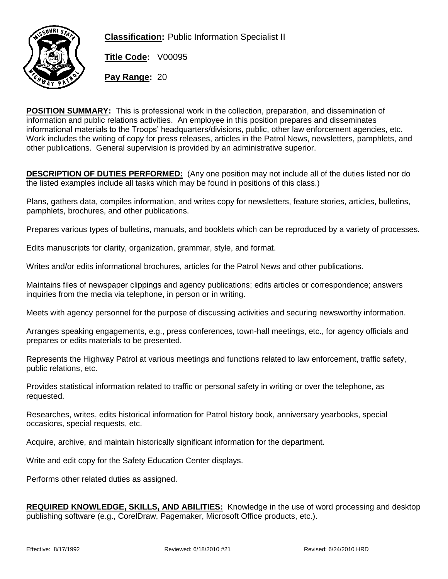

**Classification:** Public Information Specialist II

**Title Code:** V00095

**Pay Range:** 20

**POSITION SUMMARY:** This is professional work in the collection, preparation, and dissemination of information and public relations activities. An employee in this position prepares and disseminates informational materials to the Troops' headquarters/divisions, public, other law enforcement agencies, etc. Work includes the writing of copy for press releases, articles in the Patrol News, newsletters, pamphlets, and other publications. General supervision is provided by an administrative superior.

**DESCRIPTION OF DUTIES PERFORMED:** (Any one position may not include all of the duties listed nor do the listed examples include all tasks which may be found in positions of this class.)

Plans, gathers data, compiles information, and writes copy for newsletters, feature stories, articles, bulletins, pamphlets, brochures, and other publications.

Prepares various types of bulletins, manuals, and booklets which can be reproduced by a variety of processes.

Edits manuscripts for clarity, organization, grammar, style, and format.

Writes and/or edits informational brochures, articles for the Patrol News and other publications.

Maintains files of newspaper clippings and agency publications; edits articles or correspondence; answers inquiries from the media via telephone, in person or in writing.

Meets with agency personnel for the purpose of discussing activities and securing newsworthy information.

Arranges speaking engagements, e.g., press conferences, town-hall meetings, etc., for agency officials and prepares or edits materials to be presented.

Represents the Highway Patrol at various meetings and functions related to law enforcement, traffic safety, public relations, etc.

Provides statistical information related to traffic or personal safety in writing or over the telephone, as requested.

Researches, writes, edits historical information for Patrol history book, anniversary yearbooks, special occasions, special requests, etc.

Acquire, archive, and maintain historically significant information for the department.

Write and edit copy for the Safety Education Center displays.

Performs other related duties as assigned.

**REQUIRED KNOWLEDGE, SKILLS, AND ABILITIES:** Knowledge in the use of word processing and desktop publishing software (e.g., CorelDraw, Pagemaker, Microsoft Office products, etc.).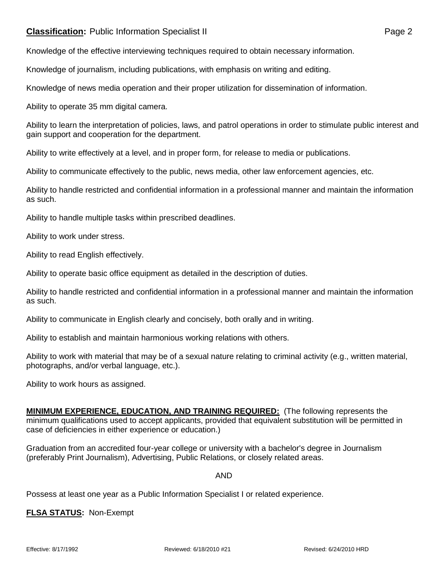## **Classification:** Public Information Specialist II **Classification:** Page 2

Knowledge of the effective interviewing techniques required to obtain necessary information.

Knowledge of journalism, including publications, with emphasis on writing and editing.

Knowledge of news media operation and their proper utilization for dissemination of information.

Ability to operate 35 mm digital camera.

Ability to learn the interpretation of policies, laws, and patrol operations in order to stimulate public interest and gain support and cooperation for the department.

Ability to write effectively at a level, and in proper form, for release to media or publications.

Ability to communicate effectively to the public, news media, other law enforcement agencies, etc.

Ability to handle restricted and confidential information in a professional manner and maintain the information as such.

Ability to handle multiple tasks within prescribed deadlines.

Ability to work under stress.

Ability to read English effectively.

Ability to operate basic office equipment as detailed in the description of duties.

Ability to handle restricted and confidential information in a professional manner and maintain the information as such.

Ability to communicate in English clearly and concisely, both orally and in writing.

Ability to establish and maintain harmonious working relations with others.

Ability to work with material that may be of a sexual nature relating to criminal activity (e.g., written material, photographs, and/or verbal language, etc.).

Ability to work hours as assigned.

**MINIMUM EXPERIENCE, EDUCATION, AND TRAINING REQUIRED:** (The following represents the minimum qualifications used to accept applicants, provided that equivalent substitution will be permitted in case of deficiencies in either experience or education.)

Graduation from an accredited four-year college or university with a bachelor's degree in Journalism (preferably Print Journalism), Advertising, Public Relations, or closely related areas.

AND

Possess at least one year as a Public Information Specialist I or related experience.

## **FLSA STATUS:** Non-Exempt